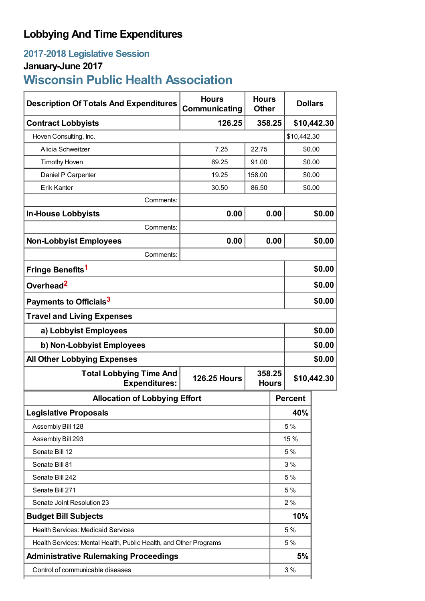## **Lobbying And Time Expenditures**

# **2017-2018 Legislative Session**

# **January-June 2017**

# **Wisconsin Public Health Association**

| <b>Description Of Totals And Expenditures</b>                     | <b>Hours</b><br>Communicating | <b>Hours</b><br><b>Other</b> | <b>Dollars</b> |                |             |
|-------------------------------------------------------------------|-------------------------------|------------------------------|----------------|----------------|-------------|
| <b>Contract Lobbyists</b>                                         | 126.25                        | 358.25                       | \$10,442.30    |                |             |
| Hoven Consulting, Inc.                                            |                               |                              |                | \$10,442.30    |             |
| Alicia Schweitzer                                                 | 7.25                          | 22.75                        |                | \$0.00         |             |
| <b>Timothy Hoven</b>                                              | 69.25                         | 91.00                        |                | \$0.00         |             |
| Daniel P Carpenter                                                | 19.25                         | 158.00                       |                | \$0.00         |             |
| <b>Erik Kanter</b>                                                | 30.50                         | 86.50                        |                | \$0.00         |             |
| Comments:                                                         |                               |                              |                |                |             |
| <b>In-House Lobbyists</b>                                         | 0.00                          |                              | 0.00           | \$0.00         |             |
| Comments:                                                         |                               |                              |                |                |             |
| <b>Non-Lobbyist Employees</b>                                     | 0.00                          |                              | 0.00           |                | \$0.00      |
| Comments:                                                         |                               |                              |                |                |             |
| Fringe Benefits <sup>1</sup>                                      |                               |                              |                |                | \$0.00      |
| Overhead <sup>2</sup>                                             |                               |                              | \$0.00         |                |             |
| Payments to Officials <sup>3</sup>                                |                               |                              |                |                | \$0.00      |
| <b>Travel and Living Expenses</b>                                 |                               |                              |                |                |             |
| a) Lobbyist Employees                                             |                               |                              |                | \$0.00         |             |
| b) Non-Lobbyist Employees                                         |                               |                              |                | \$0.00         |             |
| <b>All Other Lobbying Expenses</b>                                |                               |                              |                | \$0.00         |             |
| <b>Total Lobbying Time And</b><br><b>Expenditures:</b>            | <b>126.25 Hours</b>           | 358.25<br><b>Hours</b>       |                |                | \$10,442.30 |
| <b>Allocation of Lobbying Effort</b>                              |                               |                              |                | <b>Percent</b> |             |
| <b>Legislative Proposals</b>                                      |                               |                              |                | 40%            |             |
| Assembly Bill 128                                                 |                               |                              | 5 %            |                |             |
| Assembly Bill 293                                                 |                               |                              | 15%            |                |             |
| Senate Bill 12                                                    |                               |                              | 5%             |                |             |
| Senate Bill 81                                                    |                               | 3%                           |                |                |             |
| Senate Bill 242                                                   |                               |                              | 5 %            |                |             |
| Senate Bill 271                                                   |                               |                              | 5 %            |                |             |
| Senate Joint Resolution 23                                        |                               |                              | 2%             |                |             |
| <b>Budget Bill Subjects</b>                                       |                               |                              | 10%            |                |             |
| <b>Health Services: Medicaid Services</b>                         |                               |                              |                | 5 %            |             |
| Health Services: Mental Health, Public Health, and Other Programs |                               |                              | 5 %            |                |             |
| <b>Administrative Rulemaking Proceedings</b>                      |                               |                              |                | 5%             |             |
| Control of communicable diseases                                  |                               |                              |                | 3%             |             |